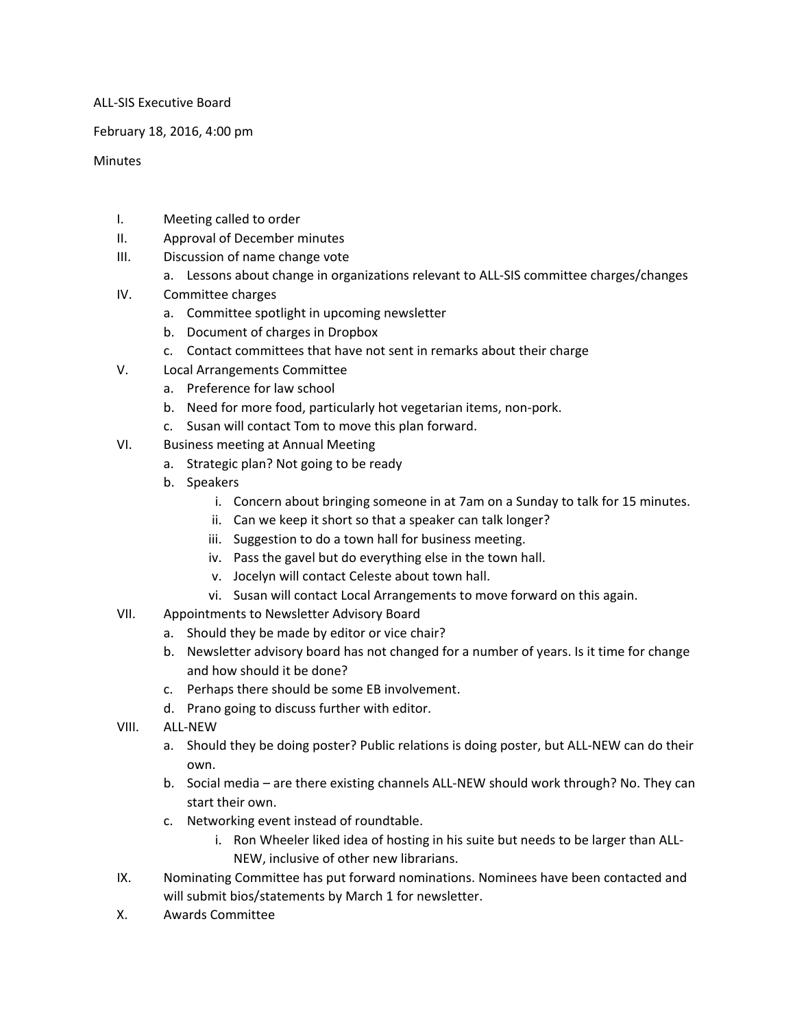ALL-SIS Executive Board

February 18, 2016, 4:00 pm

**Minutes** 

- I. Meeting called to order
- II. Approval of December minutes
- III. Discussion of name change vote
	- a. Lessons about change in organizations relevant to ALL-SIS committee charges/changes
- IV. Committee charges
	- a. Committee spotlight in upcoming newsletter
	- b. Document of charges in Dropbox
	- c. Contact committees that have not sent in remarks about their charge
- V. Local Arrangements Committee
	- a. Preference for law school
	- b. Need for more food, particularly hot vegetarian items, non-pork.
	- c. Susan will contact Tom to move this plan forward.
- VI. Business meeting at Annual Meeting
	- a. Strategic plan? Not going to be ready
	- b. Speakers
		- i. Concern about bringing someone in at 7am on a Sunday to talk for 15 minutes.
		- ii. Can we keep it short so that a speaker can talk longer?
		- iii. Suggestion to do a town hall for business meeting.
		- iv. Pass the gavel but do everything else in the town hall.
		- v. Jocelyn will contact Celeste about town hall.
		- vi. Susan will contact Local Arrangements to move forward on this again.
- VII. Appointments to Newsletter Advisory Board
	- a. Should they be made by editor or vice chair?
	- b. Newsletter advisory board has not changed for a number of years. Is it time for change and how should it be done?
	- c. Perhaps there should be some EB involvement.
	- d. Prano going to discuss further with editor.
- VIII. ALL-NEW
	- a. Should they be doing poster? Public relations is doing poster, but ALL-NEW can do their own.
	- b. Social media are there existing channels ALL-NEW should work through? No. They can start their own.
	- c. Networking event instead of roundtable.
		- i. Ron Wheeler liked idea of hosting in his suite but needs to be larger than ALL-NEW, inclusive of other new librarians.
- IX. Nominating Committee has put forward nominations. Nominees have been contacted and will submit bios/statements by March 1 for newsletter.
- X. Awards Committee